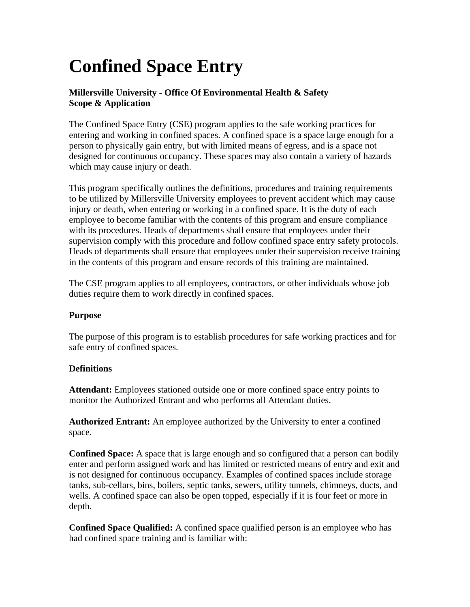# **Confined Space Entry**

## **Millersville University - Office Of Environmental Health & Safety Scope & Application**

The Confined Space Entry (CSE) program applies to the safe working practices for entering and working in confined spaces. A confined space is a space large enough for a person to physically gain entry, but with limited means of egress, and is a space not designed for continuous occupancy. These spaces may also contain a variety of hazards which may cause injury or death.

This program specifically outlines the definitions, procedures and training requirements to be utilized by Millersville University employees to prevent accident which may cause injury or death, when entering or working in a confined space. It is the duty of each employee to become familiar with the contents of this program and ensure compliance with its procedures. Heads of departments shall ensure that employees under their supervision comply with this procedure and follow confined space entry safety protocols. Heads of departments shall ensure that employees under their supervision receive training in the contents of this program and ensure records of this training are maintained.

The CSE program applies to all employees, contractors, or other individuals whose job duties require them to work directly in confined spaces.

### **Purpose**

The purpose of this program is to establish procedures for safe working practices and for safe entry of confined spaces.

### **Definitions**

**Attendant:** Employees stationed outside one or more confined space entry points to monitor the Authorized Entrant and who performs all Attendant duties.

**Authorized Entrant:** An employee authorized by the University to enter a confined space.

**Confined Space:** A space that is large enough and so configured that a person can bodily enter and perform assigned work and has limited or restricted means of entry and exit and is not designed for continuous occupancy. Examples of confined spaces include storage tanks, sub-cellars, bins, boilers, septic tanks, sewers, utility tunnels, chimneys, ducts, and wells. A confined space can also be open topped, especially if it is four feet or more in depth.

**Confined Space Qualified:** A confined space qualified person is an employee who has had confined space training and is familiar with: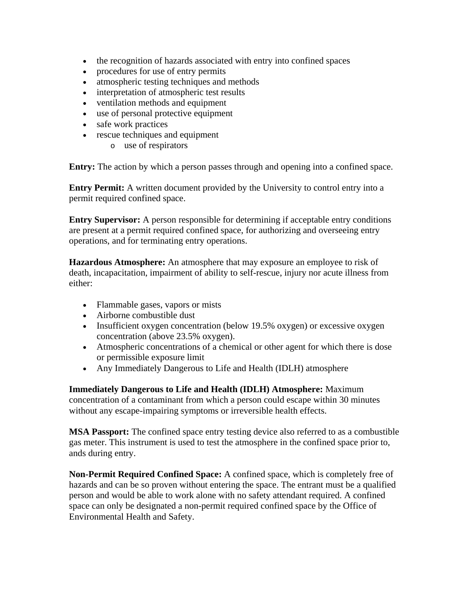- the recognition of hazards associated with entry into confined spaces
- procedures for use of entry permits
- atmospheric testing techniques and methods
- interpretation of atmospheric test results
- ventilation methods and equipment
- use of personal protective equipment
- safe work practices
- rescue techniques and equipment
	- o use of respirators

**Entry:** The action by which a person passes through and opening into a confined space.

**Entry Permit:** A written document provided by the University to control entry into a permit required confined space.

**Entry Supervisor:** A person responsible for determining if acceptable entry conditions are present at a permit required confined space, for authorizing and overseeing entry operations, and for terminating entry operations.

**Hazardous Atmosphere:** An atmosphere that may exposure an employee to risk of death, incapacitation, impairment of ability to self-rescue, injury nor acute illness from either:

- Flammable gases, vapors or mists
- Airborne combustible dust
- Insufficient oxygen concentration (below 19.5% oxygen) or excessive oxygen concentration (above 23.5% oxygen).
- Atmospheric concentrations of a chemical or other agent for which there is dose or permissible exposure limit
- Any Immediately Dangerous to Life and Health (IDLH) atmosphere

**Immediately Dangerous to Life and Health (IDLH) Atmosphere:** Maximum concentration of a contaminant from which a person could escape within 30 minutes without any escape-impairing symptoms or irreversible health effects.

**MSA Passport:** The confined space entry testing device also referred to as a combustible gas meter. This instrument is used to test the atmosphere in the confined space prior to, ands during entry.

**Non-Permit Required Confined Space:** A confined space, which is completely free of hazards and can be so proven without entering the space. The entrant must be a qualified person and would be able to work alone with no safety attendant required. A confined space can only be designated a non-permit required confined space by the Office of Environmental Health and Safety.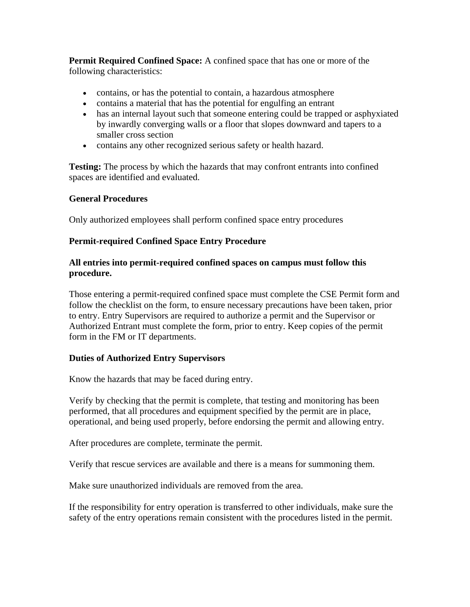**Permit Required Confined Space:** A confined space that has one or more of the following characteristics:

- contains, or has the potential to contain, a hazardous atmosphere
- contains a material that has the potential for engulfing an entrant
- has an internal layout such that someone entering could be trapped or asphyxiated by inwardly converging walls or a floor that slopes downward and tapers to a smaller cross section
- contains any other recognized serious safety or health hazard.

**Testing:** The process by which the hazards that may confront entrants into confined spaces are identified and evaluated.

### **General Procedures**

Only authorized employees shall perform confined space entry procedures

#### **Permit-required Confined Space Entry Procedure**

#### **All entries into permit-required confined spaces on campus must follow this procedure.**

Those entering a permit-required confined space must complete the CSE Permit form and follow the checklist on the form, to ensure necessary precautions have been taken, prior to entry. Entry Supervisors are required to authorize a permit and the Supervisor or Authorized Entrant must complete the form, prior to entry. Keep copies of the permit form in the FM or IT departments.

### **Duties of Authorized Entry Supervisors**

Know the hazards that may be faced during entry.

Verify by checking that the permit is complete, that testing and monitoring has been performed, that all procedures and equipment specified by the permit are in place, operational, and being used properly, before endorsing the permit and allowing entry.

After procedures are complete, terminate the permit.

Verify that rescue services are available and there is a means for summoning them.

Make sure unauthorized individuals are removed from the area.

If the responsibility for entry operation is transferred to other individuals, make sure the safety of the entry operations remain consistent with the procedures listed in the permit.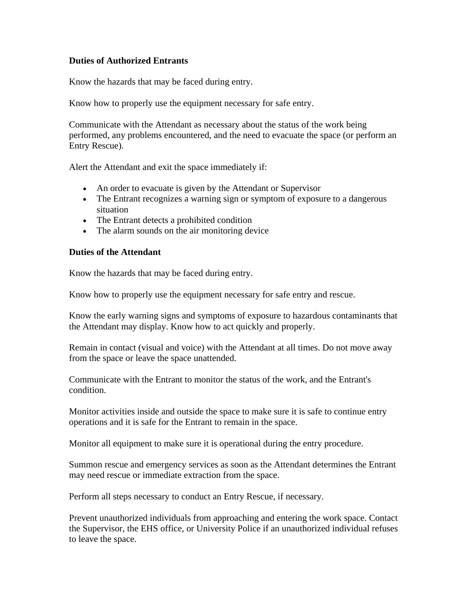#### **Duties of Authorized Entrants**

Know the hazards that may be faced during entry.

Know how to properly use the equipment necessary for safe entry.

Communicate with the Attendant as necessary about the status of the work being performed, any problems encountered, and the need to evacuate the space (or perform an Entry Rescue).

Alert the Attendant and exit the space immediately if:

- An order to evacuate is given by the Attendant or Supervisor
- The Entrant recognizes a warning sign or symptom of exposure to a dangerous situation
- The Entrant detects a prohibited condition
- The alarm sounds on the air monitoring device

#### **Duties of the Attendant**

Know the hazards that may be faced during entry.

Know how to properly use the equipment necessary for safe entry and rescue.

Know the early warning signs and symptoms of exposure to hazardous contaminants that the Attendant may display. Know how to act quickly and properly.

Remain in contact (visual and voice) with the Attendant at all times. Do not move away from the space or leave the space unattended.

Communicate with the Entrant to monitor the status of the work, and the Entrant's condition.

Monitor activities inside and outside the space to make sure it is safe to continue entry operations and it is safe for the Entrant to remain in the space.

Monitor all equipment to make sure it is operational during the entry procedure.

Summon rescue and emergency services as soon as the Attendant determines the Entrant may need rescue or immediate extraction from the space.

Perform all steps necessary to conduct an Entry Rescue, if necessary.

Prevent unauthorized individuals from approaching and entering the work space. Contact the Supervisor, the EHS office, or University Police if an unauthorized individual refuses to leave the space.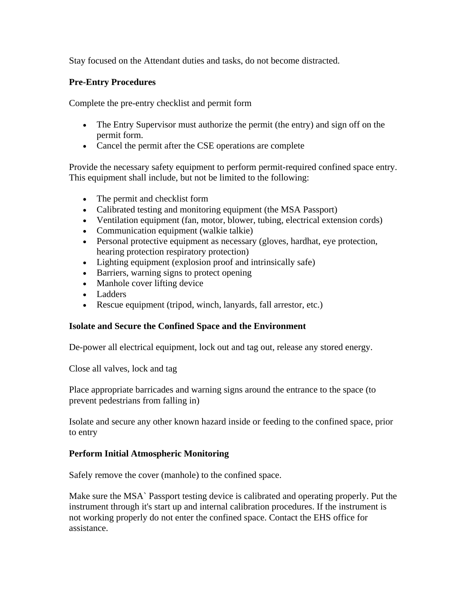Stay focused on the Attendant duties and tasks, do not become distracted.

#### **Pre-Entry Procedures**

Complete the pre-entry checklist and permit form

- The Entry Supervisor must authorize the permit (the entry) and sign off on the permit form.
- Cancel the permit after the CSE operations are complete

Provide the necessary safety equipment to perform permit-required confined space entry. This equipment shall include, but not be limited to the following:

- The permit and checklist form
- Calibrated testing and monitoring equipment (the MSA Passport)
- Ventilation equipment (fan, motor, blower, tubing, electrical extension cords)
- Communication equipment (walkie talkie)
- Personal protective equipment as necessary (gloves, hardhat, eye protection, hearing protection respiratory protection)
- Lighting equipment (explosion proof and intrinsically safe)
- Barriers, warning signs to protect opening
- Manhole cover lifting device
- Ladders
- Rescue equipment (tripod, winch, lanyards, fall arrestor, etc.)

### **Isolate and Secure the Confined Space and the Environment**

De-power all electrical equipment, lock out and tag out, release any stored energy.

Close all valves, lock and tag

Place appropriate barricades and warning signs around the entrance to the space (to prevent pedestrians from falling in)

Isolate and secure any other known hazard inside or feeding to the confined space, prior to entry

### **Perform Initial Atmospheric Monitoring**

Safely remove the cover (manhole) to the confined space.

Make sure the MSA` Passport testing device is calibrated and operating properly. Put the instrument through it's start up and internal calibration procedures. If the instrument is not working properly do not enter the confined space. Contact the EHS office for assistance.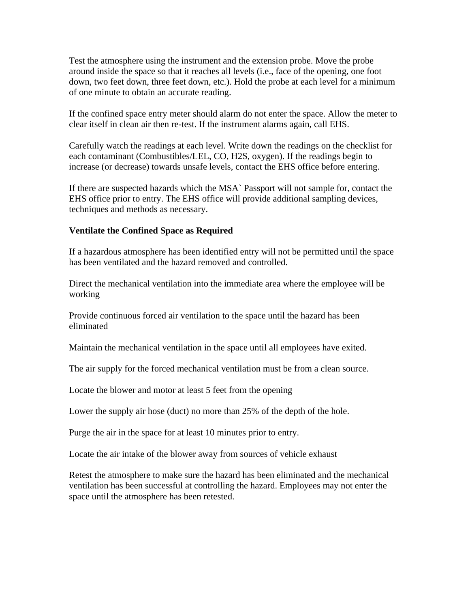Test the atmosphere using the instrument and the extension probe. Move the probe around inside the space so that it reaches all levels (i.e., face of the opening, one foot down, two feet down, three feet down, etc.). Hold the probe at each level for a minimum of one minute to obtain an accurate reading.

If the confined space entry meter should alarm do not enter the space. Allow the meter to clear itself in clean air then re-test. If the instrument alarms again, call EHS.

Carefully watch the readings at each level. Write down the readings on the checklist for each contaminant (Combustibles/LEL, CO, H2S, oxygen). If the readings begin to increase (or decrease) towards unsafe levels, contact the EHS office before entering.

If there are suspected hazards which the MSA` Passport will not sample for, contact the EHS office prior to entry. The EHS office will provide additional sampling devices, techniques and methods as necessary.

#### **Ventilate the Confined Space as Required**

If a hazardous atmosphere has been identified entry will not be permitted until the space has been ventilated and the hazard removed and controlled.

Direct the mechanical ventilation into the immediate area where the employee will be working

Provide continuous forced air ventilation to the space until the hazard has been eliminated

Maintain the mechanical ventilation in the space until all employees have exited.

The air supply for the forced mechanical ventilation must be from a clean source.

Locate the blower and motor at least 5 feet from the opening

Lower the supply air hose (duct) no more than 25% of the depth of the hole.

Purge the air in the space for at least 10 minutes prior to entry.

Locate the air intake of the blower away from sources of vehicle exhaust

Retest the atmosphere to make sure the hazard has been eliminated and the mechanical ventilation has been successful at controlling the hazard. Employees may not enter the space until the atmosphere has been retested.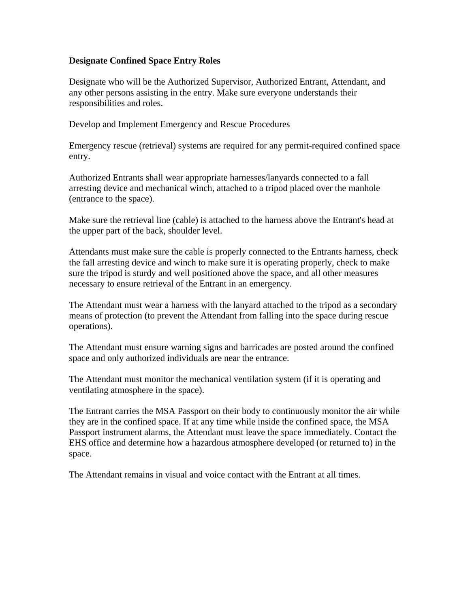#### **Designate Confined Space Entry Roles**

Designate who will be the Authorized Supervisor, Authorized Entrant, Attendant, and any other persons assisting in the entry. Make sure everyone understands their responsibilities and roles.

Develop and Implement Emergency and Rescue Procedures

Emergency rescue (retrieval) systems are required for any permit-required confined space entry.

Authorized Entrants shall wear appropriate harnesses/lanyards connected to a fall arresting device and mechanical winch, attached to a tripod placed over the manhole (entrance to the space).

Make sure the retrieval line (cable) is attached to the harness above the Entrant's head at the upper part of the back, shoulder level.

Attendants must make sure the cable is properly connected to the Entrants harness, check the fall arresting device and winch to make sure it is operating properly, check to make sure the tripod is sturdy and well positioned above the space, and all other measures necessary to ensure retrieval of the Entrant in an emergency.

The Attendant must wear a harness with the lanyard attached to the tripod as a secondary means of protection (to prevent the Attendant from falling into the space during rescue operations).

The Attendant must ensure warning signs and barricades are posted around the confined space and only authorized individuals are near the entrance.

The Attendant must monitor the mechanical ventilation system (if it is operating and ventilating atmosphere in the space).

The Entrant carries the MSA Passport on their body to continuously monitor the air while they are in the confined space. If at any time while inside the confined space, the MSA Passport instrument alarms, the Attendant must leave the space immediately. Contact the EHS office and determine how a hazardous atmosphere developed (or returned to) in the space.

The Attendant remains in visual and voice contact with the Entrant at all times.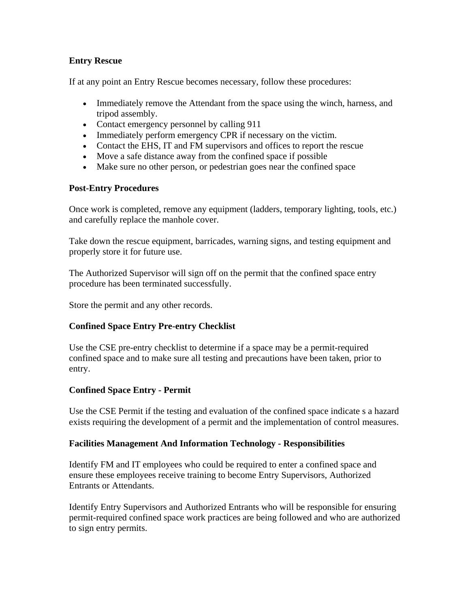## **Entry Rescue**

If at any point an Entry Rescue becomes necessary, follow these procedures:

- Immediately remove the Attendant from the space using the winch, harness, and tripod assembly.
- Contact emergency personnel by calling 911
- Immediately perform emergency CPR if necessary on the victim.
- Contact the EHS, IT and FM supervisors and offices to report the rescue
- Move a safe distance away from the confined space if possible
- Make sure no other person, or pedestrian goes near the confined space

### **Post-Entry Procedures**

Once work is completed, remove any equipment (ladders, temporary lighting, tools, etc.) and carefully replace the manhole cover.

Take down the rescue equipment, barricades, warning signs, and testing equipment and properly store it for future use.

The Authorized Supervisor will sign off on the permit that the confined space entry procedure has been terminated successfully.

Store the permit and any other records.

## **Confined Space Entry Pre-entry Checklist**

Use the CSE pre-entry checklist to determine if a space may be a permit-required confined space and to make sure all testing and precautions have been taken, prior to entry.

## **Confined Space Entry - Permit**

Use the CSE Permit if the testing and evaluation of the confined space indicate s a hazard exists requiring the development of a permit and the implementation of control measures.

### **Facilities Management And Information Technology - Responsibilities**

Identify FM and IT employees who could be required to enter a confined space and ensure these employees receive training to become Entry Supervisors, Authorized Entrants or Attendants.

Identify Entry Supervisors and Authorized Entrants who will be responsible for ensuring permit-required confined space work practices are being followed and who are authorized to sign entry permits.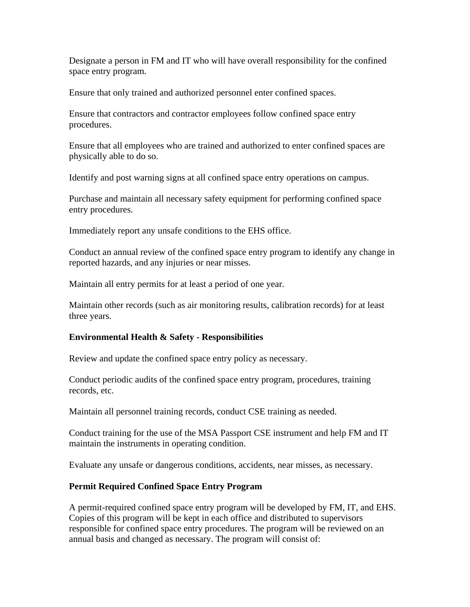Designate a person in FM and IT who will have overall responsibility for the confined space entry program.

Ensure that only trained and authorized personnel enter confined spaces.

Ensure that contractors and contractor employees follow confined space entry procedures.

Ensure that all employees who are trained and authorized to enter confined spaces are physically able to do so.

Identify and post warning signs at all confined space entry operations on campus.

Purchase and maintain all necessary safety equipment for performing confined space entry procedures.

Immediately report any unsafe conditions to the EHS office.

Conduct an annual review of the confined space entry program to identify any change in reported hazards, and any injuries or near misses.

Maintain all entry permits for at least a period of one year.

Maintain other records (such as air monitoring results, calibration records) for at least three years.

### **Environmental Health & Safety - Responsibilities**

Review and update the confined space entry policy as necessary.

Conduct periodic audits of the confined space entry program, procedures, training records, etc.

Maintain all personnel training records, conduct CSE training as needed.

Conduct training for the use of the MSA Passport CSE instrument and help FM and IT maintain the instruments in operating condition.

Evaluate any unsafe or dangerous conditions, accidents, near misses, as necessary.

### **Permit Required Confined Space Entry Program**

A permit-required confined space entry program will be developed by FM, IT, and EHS. Copies of this program will be kept in each office and distributed to supervisors responsible for confined space entry procedures. The program will be reviewed on an annual basis and changed as necessary. The program will consist of: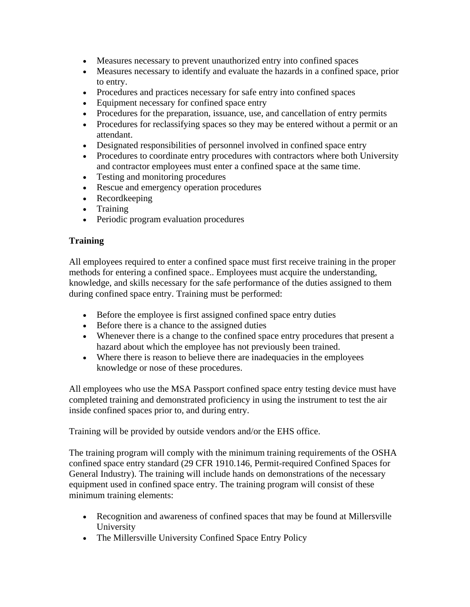- Measures necessary to prevent unauthorized entry into confined spaces
- Measures necessary to identify and evaluate the hazards in a confined space, prior to entry.
- Procedures and practices necessary for safe entry into confined spaces
- Equipment necessary for confined space entry
- Procedures for the preparation, issuance, use, and cancellation of entry permits
- Procedures for reclassifying spaces so they may be entered without a permit or an attendant.
- Designated responsibilities of personnel involved in confined space entry
- Procedures to coordinate entry procedures with contractors where both University and contractor employees must enter a confined space at the same time.
- Testing and monitoring procedures
- Rescue and emergency operation procedures
- Recordkeeping
- Training
- Periodic program evaluation procedures

## **Training**

All employees required to enter a confined space must first receive training in the proper methods for entering a confined space.. Employees must acquire the understanding, knowledge, and skills necessary for the safe performance of the duties assigned to them during confined space entry. Training must be performed:

- Before the employee is first assigned confined space entry duties
- Before there is a chance to the assigned duties
- Whenever there is a change to the confined space entry procedures that present a hazard about which the employee has not previously been trained.
- Where there is reason to believe there are inadequacies in the employees knowledge or nose of these procedures.

All employees who use the MSA Passport confined space entry testing device must have completed training and demonstrated proficiency in using the instrument to test the air inside confined spaces prior to, and during entry.

Training will be provided by outside vendors and/or the EHS office.

The training program will comply with the minimum training requirements of the OSHA confined space entry standard (29 CFR 1910.146, Permit-required Confined Spaces for General Industry). The training will include hands on demonstrations of the necessary equipment used in confined space entry. The training program will consist of these minimum training elements:

- Recognition and awareness of confined spaces that may be found at Millersville University
- The Millersville University Confined Space Entry Policy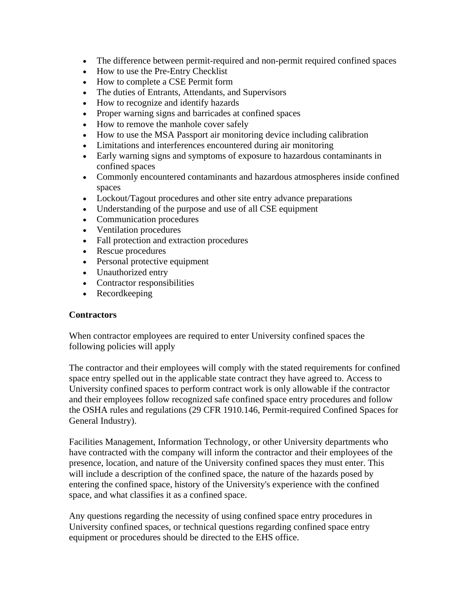- The difference between permit-required and non-permit required confined spaces
- How to use the Pre-Entry Checklist
- How to complete a CSE Permit form
- The duties of Entrants, Attendants, and Supervisors
- How to recognize and identify hazards
- Proper warning signs and barricades at confined spaces
- How to remove the manhole cover safely
- How to use the MSA Passport air monitoring device including calibration
- Limitations and interferences encountered during air monitoring
- Early warning signs and symptoms of exposure to hazardous contaminants in confined spaces
- Commonly encountered contaminants and hazardous atmospheres inside confined spaces
- Lockout/Tagout procedures and other site entry advance preparations
- Understanding of the purpose and use of all CSE equipment
- Communication procedures
- Ventilation procedures
- Fall protection and extraction procedures
- Rescue procedures
- Personal protective equipment
- Unauthorized entry
- Contractor responsibilities
- Recordkeeping

#### **Contractors**

When contractor employees are required to enter University confined spaces the following policies will apply

The contractor and their employees will comply with the stated requirements for confined space entry spelled out in the applicable state contract they have agreed to. Access to University confined spaces to perform contract work is only allowable if the contractor and their employees follow recognized safe confined space entry procedures and follow the OSHA rules and regulations (29 CFR 1910.146, Permit-required Confined Spaces for General Industry).

Facilities Management, Information Technology, or other University departments who have contracted with the company will inform the contractor and their employees of the presence, location, and nature of the University confined spaces they must enter. This will include a description of the confined space, the nature of the hazards posed by entering the confined space, history of the University's experience with the confined space, and what classifies it as a confined space.

Any questions regarding the necessity of using confined space entry procedures in University confined spaces, or technical questions regarding confined space entry equipment or procedures should be directed to the EHS office.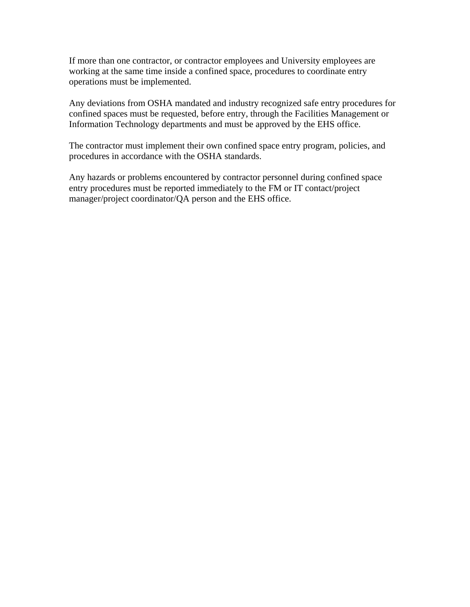If more than one contractor, or contractor employees and University employees are working at the same time inside a confined space, procedures to coordinate entry operations must be implemented.

Any deviations from OSHA mandated and industry recognized safe entry procedures for confined spaces must be requested, before entry, through the Facilities Management or Information Technology departments and must be approved by the EHS office.

The contractor must implement their own confined space entry program, policies, and procedures in accordance with the OSHA standards.

Any hazards or problems encountered by contractor personnel during confined space entry procedures must be reported immediately to the FM or IT contact/project manager/project coordinator/QA person and the EHS office.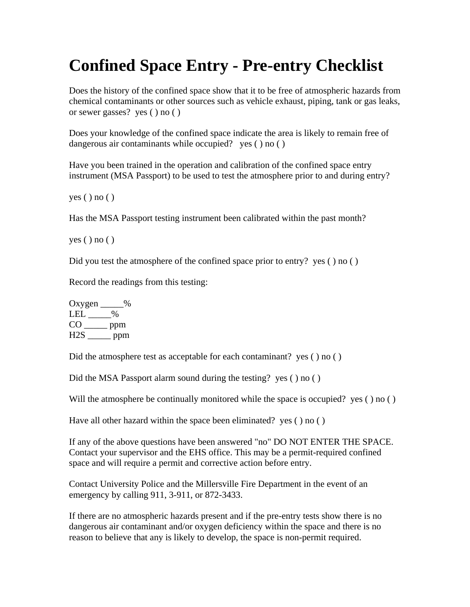## **Confined Space Entry - Pre-entry Checklist**

Does the history of the confined space show that it to be free of atmospheric hazards from chemical contaminants or other sources such as vehicle exhaust, piping, tank or gas leaks, or sewer gasses? yes ( ) no ( )

Does your knowledge of the confined space indicate the area is likely to remain free of dangerous air contaminants while occupied? yes ( ) no ( )

Have you been trained in the operation and calibration of the confined space entry instrument (MSA Passport) to be used to test the atmosphere prior to and during entry?

 $yes() no()$ 

Has the MSA Passport testing instrument been calibrated within the past month?

yes ( ) no ( )

Did you test the atmosphere of the confined space prior to entry? yes ( ) no ( )

Record the readings from this testing:

Oxygen \_\_\_\_\_%  $LEL$  \_\_\_\_\_% CO \_\_\_\_\_ ppm  $H2S$ <sub>\_\_\_\_\_\_</sub> ppm

Did the atmosphere test as acceptable for each contaminant? yes ( ) no ( )

Did the MSA Passport alarm sound during the testing? yes ( ) no ( )

Will the atmosphere be continually monitored while the space is occupied? yes () no ()

Have all other hazard within the space been eliminated? yes ( ) no ( )

If any of the above questions have been answered "no" DO NOT ENTER THE SPACE. Contact your supervisor and the EHS office. This may be a permit-required confined space and will require a permit and corrective action before entry.

Contact University Police and the Millersville Fire Department in the event of an emergency by calling 911, 3-911, or 872-3433.

If there are no atmospheric hazards present and if the pre-entry tests show there is no dangerous air contaminant and/or oxygen deficiency within the space and there is no reason to believe that any is likely to develop, the space is non-permit required.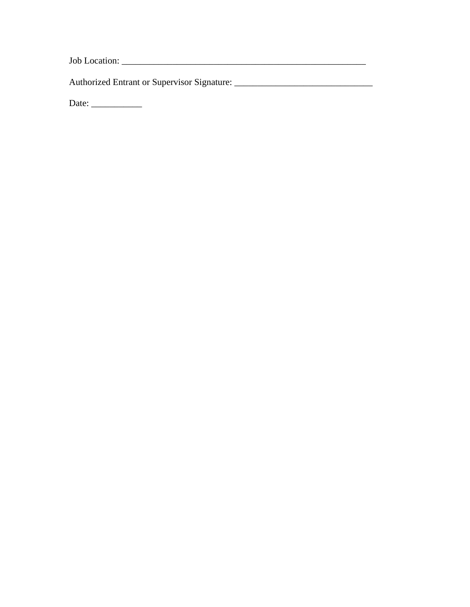Job Location: \_\_\_\_\_\_\_\_\_\_\_\_\_\_\_\_\_\_\_\_\_\_\_\_\_\_\_\_\_\_\_\_\_\_\_\_\_\_\_\_\_\_\_\_\_\_\_\_\_\_\_\_\_

Authorized Entrant or Supervisor Signature: \_\_\_\_\_\_\_\_\_\_\_\_\_\_\_\_\_\_\_\_\_\_\_\_\_\_\_\_\_\_

Date: \_\_\_\_\_\_\_\_\_\_\_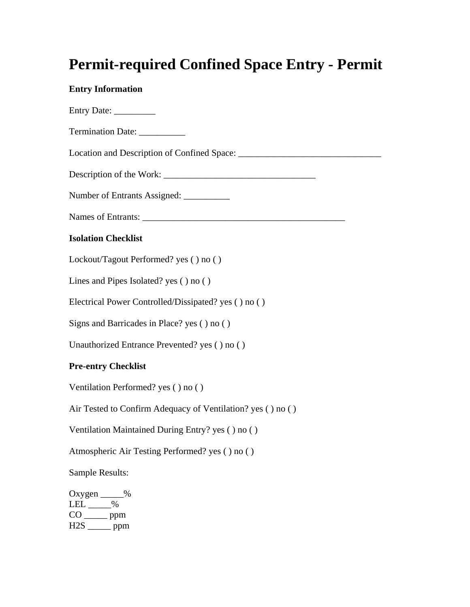## **Permit-required Confined Space Entry - Permit**

## **Entry Information**

| Entry Date:                                                                             |
|-----------------------------------------------------------------------------------------|
| Termination Date: ___________                                                           |
|                                                                                         |
|                                                                                         |
| Number of Entrants Assigned: ___________                                                |
|                                                                                         |
| <b>Isolation Checklist</b>                                                              |
| Lockout/Tagout Performed? yes () no ()                                                  |
| Lines and Pipes Isolated? yes () no ()                                                  |
| Electrical Power Controlled/Dissipated? yes () no ()                                    |
| Signs and Barricades in Place? yes () no ()                                             |
| Unauthorized Entrance Prevented? yes () no ()                                           |
| <b>Pre-entry Checklist</b>                                                              |
| Ventilation Performed? yes () no ()                                                     |
| Air Tested to Confirm Adequacy of Ventilation? yes () no ()                             |
| Ventilation Maintained During Entry? yes () no ()                                       |
| Atmospheric Air Testing Performed? yes () no ()                                         |
| Sample Results:                                                                         |
| Oxygen $\_\_\_\_$<br>$LEL$ $\_\_\_\_\$<br>$CO$ ______ ppm<br>$H2S$ <sub>_____</sub> ppm |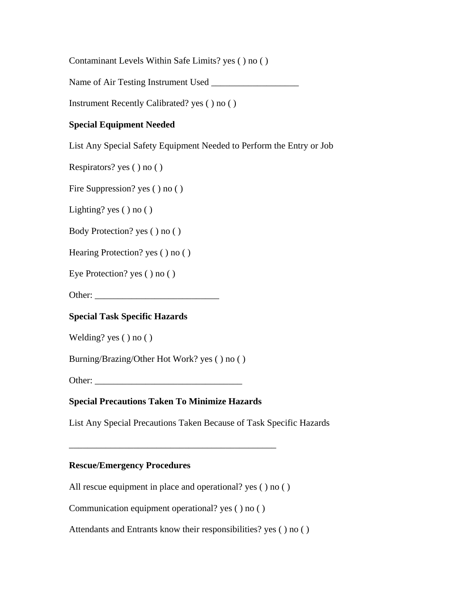Contaminant Levels Within Safe Limits? yes ( ) no ( )

Name of Air Testing Instrument Used

Instrument Recently Calibrated? yes ( ) no ( )

## **Special Equipment Needed**

List Any Special Safety Equipment Needed to Perform the Entry or Job

Respirators? yes ( ) no ( )

Fire Suppression? yes ( ) no ( )

Lighting? yes ( ) no ( )

Body Protection? yes ( ) no ( )

Hearing Protection? yes ( ) no ( )

Eye Protection? yes ( ) no ( )

Other:

### **Special Task Specific Hazards**

Welding? yes ( ) no ( )

Burning/Brazing/Other Hot Work? yes ( ) no ( )

Other: \_\_\_\_\_\_\_\_\_\_\_\_\_\_\_\_\_\_\_\_\_\_\_\_\_\_\_\_\_\_\_\_

#### **Special Precautions Taken To Minimize Hazards**

List Any Special Precautions Taken Because of Task Specific Hazards

#### **Rescue/Emergency Procedures**

All rescue equipment in place and operational? yes () no ()

\_\_\_\_\_\_\_\_\_\_\_\_\_\_\_\_\_\_\_\_\_\_\_\_\_\_\_\_\_\_\_\_\_\_\_\_\_\_\_\_\_\_\_\_\_

Communication equipment operational? yes ( ) no ( )

Attendants and Entrants know their responsibilities? yes ( ) no ( )